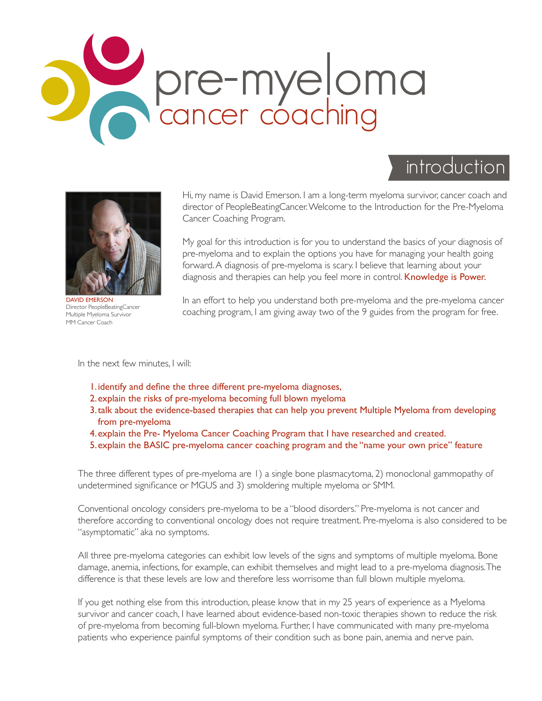

# introduction



DAVID EMERSON Director PeopleBeatingCancer Multiple Myeloma Survivor MM Cancer Coach

Hi, my name is David Emerson. I am a long-term myeloma survivor, cancer coach and director of PeopleBeatingCancer. Welcome to the Introduction for the Pre-Myeloma Cancer Coaching Program.

My goal for this introduction is for you to understand the basics of your diagnosis of pre-myeloma and to explain the options you have for managing your health going forward. A diagnosis of pre-myeloma is scary. I believe that learning about your diagnosis and therapies can help you feel more in control. Knowledge is Power.

In an effort to help you understand both pre-myeloma and the pre-myeloma cancer coaching program, I am giving away two of the 9 guides from the program for free.

In the next few minutes, I will:

- 1.identify and define the three different pre-myeloma diagnoses,
- 2.explain the risks of pre-myeloma becoming full blown myeloma
- 3.talk about the evidence-based therapies that can help you prevent Multiple Myeloma from developing from pre-myeloma
- 4.explain the Pre- Myeloma Cancer Coaching Program that I have researched and created.
- 5.explain the BASIC pre-myeloma cancer coaching program and the "name your own price" feature

The three different types of pre-myeloma are 1) a single bone plasmacytoma, 2) monoclonal gammopathy of undetermined significance or MGUS and 3) smoldering multiple myeloma or SMM.

Conventional oncology considers pre-myeloma to be a "blood disorders." Pre-myeloma is not cancer and therefore according to conventional oncology does not require treatment. Pre-myeloma is also considered to be "asymptomatic" aka no symptoms.

All three pre-myeloma categories can exhibit low levels of the signs and symptoms of multiple myeloma. Bone damage, anemia, infections, for example, can exhibit themselves and might lead to a pre-myeloma diagnosis. The difference is that these levels are low and therefore less worrisome than full blown multiple myeloma.

If you get nothing else from this introduction, please know that in my 25 years of experience as a Myeloma survivor and cancer coach, I have learned about evidence-based non-toxic therapies shown to reduce the risk of pre-myeloma from becoming full-blown myeloma. Further, I have communicated with many pre-myeloma patients who experience painful symptoms of their condition such as bone pain, anemia and nerve pain.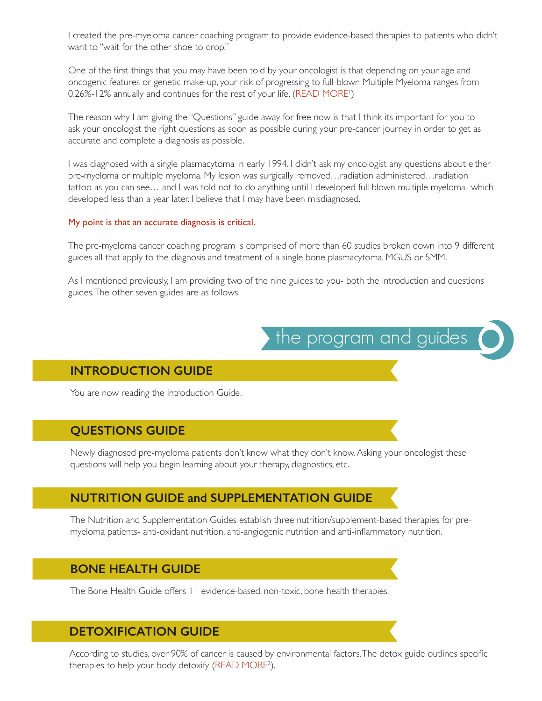I created the pre-myeloma cancer coaching program to provide evidence-based therapies to patients who didn't want to "wait for the other shoe to drop."

One of the first things that you may have been told by your oncologist is that depending on your age and oncogenic features or genetic make-up, your risk of progressing to full-blown Multiple Myeloma ranges from 0.26%-12% annually and continues for the rest of your life. (READ MORE')

The reason why I am giving the "Questions" guide away for free now is that I think its important for you to ask your oncologist the right questions as soon as possible during your pre-cancer journey in order to get as accurate and complete a diagnosis as possible.

I was diagnosed with a single plasmacytoma in early 1994. I didn't ask my oncologist any questions about either pre-myeloma or multiple myeloma. My lesion was surgically removed…radiation administered…radiation tattoo as you can see… and I was told not to do anything until I developed full blown multiple myeloma- which developed less than a year later. I believe that I may have been misdiagnosed.

#### My point is that an accurate diagnosis is critical.

The pre-myeloma cancer coaching program is comprised of more than 60 studies broken down into 9 different guides all that apply to the diagnosis and treatment of a single bone plasmacytoma, MGUS or SMM.

As I mentioned previously, I am providing two of the nine guides to you- both the introduction and questions guides. The other seven guides are as follows.



#### **INTRODUCTION GUIDE**

You are now reading the Introduction Guide.

#### **QUESTIONS GUIDE**

Newly diagnosed pre-myeloma patients don't know what they don't know. Asking your oncologist these questions will help you begin learning about your therapy, diagnostics, etc.

#### **NUTRITION GUIDE and SUPPLEMENTATION GUIDE**

The Nutrition and Supplementation Guides establish three nutrition/supplement-based therapies for premyeloma patients- anti-oxidant nutrition, anti-angiogenic nutrition and anti-inflammatory nutrition.

#### **BONE HEALTH GUIDE**

The Bone Health Guide offers 11 evidence-based, non-toxic, bone health therapies.

#### **DETOXIFICATION GUIDE**

According to studies, over 90% of cancer is caused by environmental factors. The detox guide outlines specific therapies to help your body detoxify (READ MORE<sup>2</sup>).